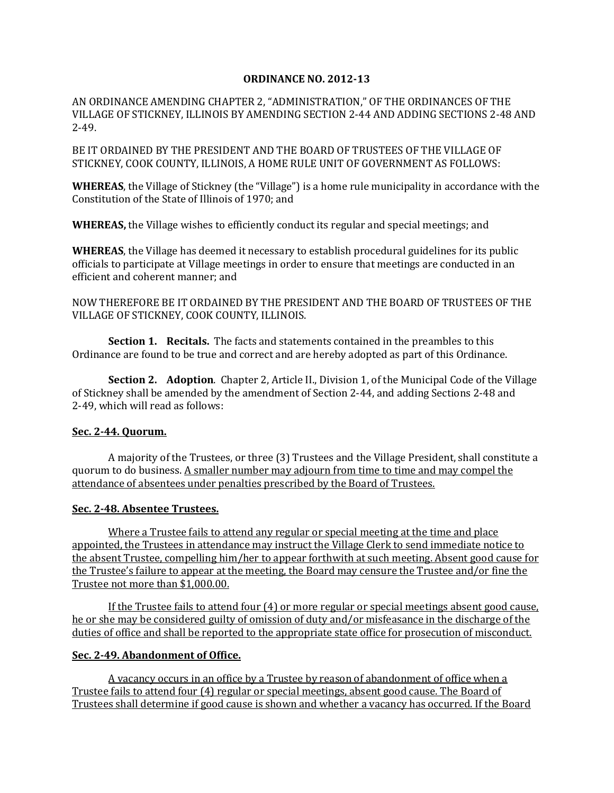## **ORDINANCE NO. 2012-13**

AN ORDINANCE AMENDING CHAPTER 2, "ADMINISTRATION," OF THE ORDINANCES OF THE VILLAGE OF STICKNEY, ILLINOIS BY AMENDING SECTION 2-44 AND ADDING SECTIONS 2-48 AND 2-49.

BE IT ORDAINED BY THE PRESIDENT AND THE BOARD OF TRUSTEES OF THE VILLAGE OF STICKNEY, COOK COUNTY, ILLINOIS, A HOME RULE UNIT OF GOVERNMENT AS FOLLOWS:

**WHEREAS**, the Village of Stickney (the "Village") is a home rule municipality in accordance with the Constitution of the State of Illinois of 1970; and

**WHEREAS,** the Village wishes to efficiently conduct its regular and special meetings; and

**WHEREAS**, the Village has deemed it necessary to establish procedural guidelines for its public officials to participate at Village meetings in order to ensure that meetings are conducted in an efficient and coherent manner; and

NOW THEREFORE BE IT ORDAINED BY THE PRESIDENT AND THE BOARD OF TRUSTEES OF THE VILLAGE OF STICKNEY, COOK COUNTY, ILLINOIS.

**Section 1. Recitals.** The facts and statements contained in the preambles to this Ordinance are found to be true and correct and are hereby adopted as part of this Ordinance.

**Section 2. Adoption**. Chapter 2, Article II., Division 1, of the Municipal Code of the Village of Stickney shall be amended by the amendment of Section 2-44, and adding Sections 2-48 and 2-49, which will read as follows:

## **Sec. 2-44. Quorum.**

A majority of the Trustees, or three (3) Trustees and the Village President, shall constitute a quorum to do business. A smaller number may adjourn from time to time and may compel the attendance of absentees under penalties prescribed by the Board of Trustees.

## **Sec. 2-48. Absentee Trustees.**

Where a Trustee fails to attend any regular or special meeting at the time and place appointed, the Trustees in attendance may instruct the Village Clerk to send immediate notice to the absent Trustee, compelling him/her to appear forthwith at such meeting. Absent good cause for the Trustee's failure to appear at the meeting, the Board may censure the Trustee and/or fine the Trustee not more than \$1,000.00.

If the Trustee fails to attend four (4) or more regular or special meetings absent good cause, he or she may be considered guilty of omission of duty and/or misfeasance in the discharge of the duties of office and shall be reported to the appropriate state office for prosecution of misconduct.

## **Sec. 2-49. Abandonment of Office.**

A vacancy occurs in an office by a Trustee by reason of abandonment of office when a Trustee fails to attend four (4) regular or special meetings, absent good cause. The Board of Trustees shall determine if good cause is shown and whether a vacancy has occurred. If the Board